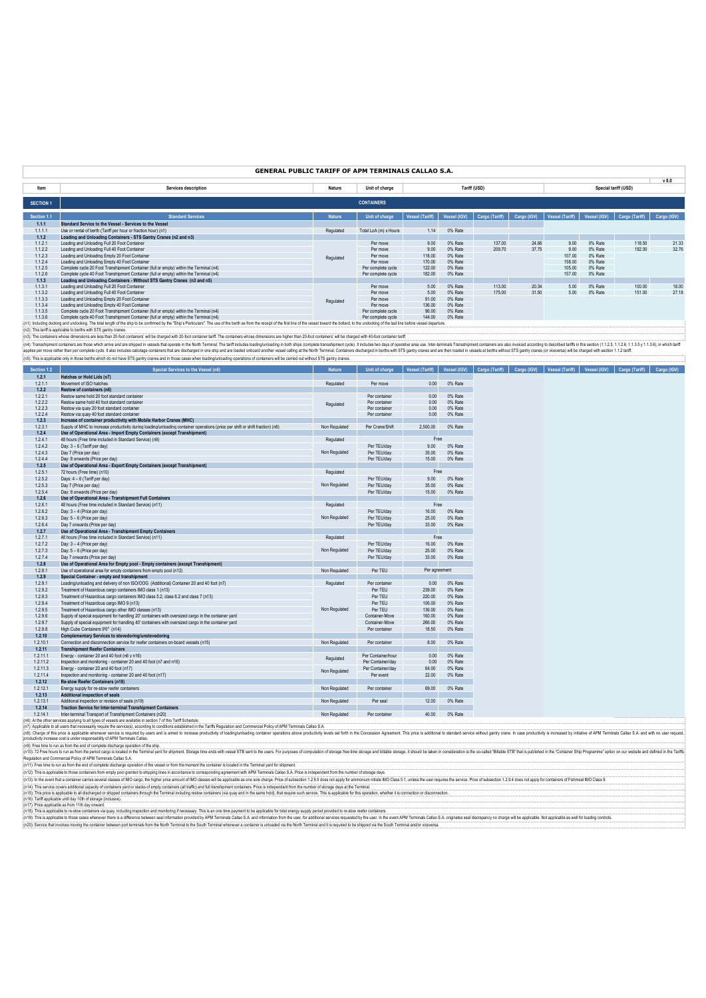### **GENERAL PUBLIC TARIFF OF APM TERMINALS CALLAO S.A.**

|                  |                                                                                                                                                                                                                                |               |                       |                 |              |                |             |                 |              |                      | v 8.0       |
|------------------|--------------------------------------------------------------------------------------------------------------------------------------------------------------------------------------------------------------------------------|---------------|-----------------------|-----------------|--------------|----------------|-------------|-----------------|--------------|----------------------|-------------|
| Item             | Services description                                                                                                                                                                                                           | Nature        | Unit of charge        |                 |              | Tariff (USD)   |             |                 |              | Special tariff (USD) |             |
| <b>SECTION 1</b> |                                                                                                                                                                                                                                |               | <b>CONTAINERS</b>     |                 |              |                |             |                 |              |                      |             |
| Section 1.1      | <b>Standard Services</b>                                                                                                                                                                                                       | <b>Nature</b> | Unit of charge        | Vessel (Tariff) | Vessel (IGV) | Cargo (Tariff) | Cargo (IGV) | Vessel (Tariff) | Vessel (IGV) | Cargo (Tariff)       | Cargo (IGV) |
| 1.1.1            | Standard Service to the Vessel - Services to the Vessel                                                                                                                                                                        |               |                       |                 |              |                |             |                 |              |                      |             |
| 1.1.1.1          | Use or rental of berth (Tariff per hour or fraction hour) (n1)                                                                                                                                                                 | Regulated     | Total LoA (m) x Hours | 1.14            | 0% Rate      |                |             |                 |              |                      |             |
| 1.1.2            | Loading and Unloading Containers - STS Gantry Cranes (n2 and n3)                                                                                                                                                               |               |                       |                 |              |                |             |                 |              |                      |             |
| 1.1.2.1          | Loading and Unloading Full 20 Foot Container                                                                                                                                                                                   |               | Per move              | 9.00            | 0% Rate      | 137.00         | 24.66       | 9.00            | 0% Rate      | 118.50               | 21.33       |
| 1.1.2.2          | Loading and Unloading Full 40 Foot Container                                                                                                                                                                                   |               | Per move              | 9.00            | 0% Rate      | 209.70         | 37.75       | 9.00            | 0% Rate      | 182.00               | 32.76       |
| 1.1.2.3          | Loading and Unloading Empty 20 Foot Container                                                                                                                                                                                  | Regulated     | Per move              | 118.00          | 0% Rate      |                |             | 107.00          | 0% Rate      |                      |             |
| 1.1.2.4          | Loading and Unloading Empty 40 Foot Container                                                                                                                                                                                  |               | Per move              | 170.00          | 0% Rate      |                |             | 158.00          | 0% Rate      |                      |             |
| 1.1.2.5          | Complete cycle 20 Foot Transhipment Container (full or empty) within the Terminal (n4)                                                                                                                                         |               | Per complete cycle    | 122.00          | 0% Rate      |                |             | 105.00          | 0% Rate      |                      |             |
| 1.1.2.6          | Complete cycle 40 Foot Transhipment Container (full or empty) within the Terminal (n4)                                                                                                                                         |               | Per complete cycle    | 182.00          | 0% Rate      |                |             | 157.00          | 0% Rate      |                      |             |
| 1.1.3            | Loading and Unloading Containers - Without STS Gantry Cranes (n3 and n5)                                                                                                                                                       |               |                       |                 |              |                |             |                 |              |                      |             |
| 1.1.3.1          | Loading and Unloading Full 20 Foot Container                                                                                                                                                                                   |               | Per move              | 5.00            | 0% Rate      | 113.00         | 20.34       | 5.00            | 0% Rate      | 100.00               | 18.00       |
| 1.1.3.2          | Loading and Unloading Full 40 Foot Container                                                                                                                                                                                   |               | Per move              | 5.00            | 0% Rate      | 175.00         | 31.50       | 5.00            | 0% Rate      | 151.00               | 27.18       |
| 1.1.3.3          | Loading and Unloading Empty 20 Foot Container                                                                                                                                                                                  | Regulated     | Per move              | 91.00           | 0% Rate      |                |             |                 |              |                      |             |
| 1.1.3.4          | Loading and Unloading Empty 40 Foot Container                                                                                                                                                                                  |               | Per move              | 136.00          | 0% Rate      |                |             |                 |              |                      |             |
| 1.1.3.5          | Complete cycle 20 Foot Transhipment Container (full or empty) within the Terminal (n4)                                                                                                                                         |               | Per complete cycle    | 96.00           | 0% Rate      |                |             |                 |              |                      |             |
| 1.1.3.6          | Complete cycle 40 Foot Transhipment Container (full or empty) within the Terminal (n4)                                                                                                                                         |               | Per complete cycle    | 144.00          | 0% Rate      |                |             |                 |              |                      |             |
|                  | (at): lackudian decking and undecking. The total leagth of the chin to be confirmed by the "Chin's Derfoulare". The use of the both se from the receipt of the first of the food line of the weseld humand the hellord. In the |               |                       |                 |              |                |             |                 |              |                      |             |

1.1.36 Complete popular by the office and the marker (in the marker (in the empt) with the Terminal (ink) in the comment in the comment information of the rest of the vessel toward the bulled, b the woodele colding of the

| Section 1.2      | Special Services to the Vessel (n6)                                                                                                                                                     | <b>Nature</b> | Unit of charge     | <b>Vessel (Tariff)</b> | Vessel (IGV) | Cargo (Tariff) | Cargo (IGV) | <b>Vessel (Tariff)</b> | Vessel (IGV) | Cargo (Tariff) | Cargo (IGV) |
|------------------|-----------------------------------------------------------------------------------------------------------------------------------------------------------------------------------------|---------------|--------------------|------------------------|--------------|----------------|-------------|------------------------|--------------|----------------|-------------|
| 1.2.1            | Hatches or Hold Lids (n7)                                                                                                                                                               |               |                    |                        |              |                |             |                        |              |                |             |
| 1.2.1.1          | Movement of ISO hatches                                                                                                                                                                 | Regulated     | Per move           | 0.00                   | 0% Rate      |                |             |                        |              |                |             |
| 1.2.2            | Restow of containers (n6)                                                                                                                                                               |               |                    |                        |              |                |             |                        |              |                |             |
| 1.2.2.1          | Restow same hold 20 foot standard container                                                                                                                                             |               | Per container      | 0.00                   | 0% Rate      |                |             |                        |              |                |             |
| 1.2.2.2          | Restow same hold 40 foot standard container                                                                                                                                             | Regulated     | Per container      | 0.00                   | 0% Rate      |                |             |                        |              |                |             |
| 1.2.2.3          | Restow via quay 20 foot standard container                                                                                                                                              |               | Per container      | 0.00                   | 0% Rate      |                |             |                        |              |                |             |
| 1.2.2.4          | Restow via quay 40 foot standard container                                                                                                                                              |               | Per container      | 0.00                   | 0% Rate      |                |             |                        |              |                |             |
| 1.2.3            | Increase of container productivity with Mobile Harbor Cranes (MHC)                                                                                                                      |               |                    |                        |              |                |             |                        |              |                |             |
| 1.2.3.1          | Supply of MHC to increase productivity during loading/unloading container operations (price per shift or shift fraction) (n8)                                                           | Non Regulated | Per Crane/Shift    | 2,500.00               | 0% Rate      |                |             |                        |              |                |             |
| 1.2.4            | Use of Operational Area - Import Empty Containers (except Transhipment)                                                                                                                 |               |                    |                        |              |                |             |                        |              |                |             |
| 1.2.4.1          | 48 hours (Free time included in Standard Service) (n9)                                                                                                                                  | Regulated     |                    | Free                   |              |                |             |                        |              |                |             |
| 1.2.4.2          | Day: 3 - 6 (Tariff per day)                                                                                                                                                             | Non Regulated | Per TEU/dav        | 9.00                   | 0% Rate      |                |             |                        |              |                |             |
| 1.2.4.3          | Day 7 (Price per day)                                                                                                                                                                   |               | Per TEU/day        | 35.00                  | 0% Rate      |                |             |                        |              |                |             |
| 1.2.4.4          | Day: 8 onwards (Price per day)                                                                                                                                                          |               | Per TEU/day        | 15.00                  | 0% Rate      |                |             |                        |              |                |             |
| 1.2.5<br>1.2.5.1 | Use of Operational Area - Export Empty Containers (except Transhipment)                                                                                                                 |               |                    |                        |              |                |             |                        |              |                |             |
|                  | 72 hours (Free time) (n10)                                                                                                                                                              | Regulated     |                    | Free                   |              |                |             |                        |              |                |             |
| 1.2.5.2          | Days: 4 - 6 (Tariff per day)                                                                                                                                                            |               | Per TEU/day        | 9.00                   | 0% Rate      |                |             |                        |              |                |             |
| 1.2.5.3          | Day 7 (Price per day)                                                                                                                                                                   | Non Regulated | Per TEU/day        | 35.00                  | 0% Rate      |                |             |                        |              |                |             |
| 1.2.5.4          | Day: 8 onwards (Price per day)                                                                                                                                                          |               | Per TEU/day        | 15.00                  | 0% Rate      |                |             |                        |              |                |             |
| 1.2.6            | Use of Operational Area - Transhipment Full Containers                                                                                                                                  |               |                    |                        |              |                |             |                        |              |                |             |
| 1.2.6.1          | 48 hours (Free time included in Standard Service) (n11)                                                                                                                                 | Regulated     |                    | Free                   |              |                |             |                        |              |                |             |
| 1.2.6.2          | Day: 3 - 4 (Price per day)                                                                                                                                                              |               | Per TEU/dav        | 16.00                  | 0% Rate      |                |             |                        |              |                |             |
| 1.2.6.3          | Day: 5 - 6 (Price per day)                                                                                                                                                              | Non Regulated | Per TEU/dav        | 25.00                  | 0% Rate      |                |             |                        |              |                |             |
| 1.2.6.4          | Day 7 onwards (Price per day)                                                                                                                                                           |               | Per TEU/day        | 33.00                  | 0% Rate      |                |             |                        |              |                |             |
| 1.2.7            | Use of Operational Area - Transhipment Empty Containers                                                                                                                                 |               |                    |                        |              |                |             |                        |              |                |             |
| 1.2.7.1          | 48 hours (Free time included in Standard Service) (n11)                                                                                                                                 | Regulated     |                    | Free                   |              |                |             |                        |              |                |             |
| 1.2.7.2          | Day: 3 - 4 (Price per day)                                                                                                                                                              |               | Per TEU/day        | 16.00                  | 0% Rate      |                |             |                        |              |                |             |
| 1.2.7.3          | Day: 5 - 6 (Price per day)                                                                                                                                                              | Non Regulated | Per TEU/day        | 25.00                  | 0% Rate      |                |             |                        |              |                |             |
| 1.2.7.4          | Day 7 onwards (Price per day)                                                                                                                                                           |               | Per TEU/day        | 33.00                  | 0% Rate      |                |             |                        |              |                |             |
| 1.2.8            | Use of Operational Area for Empty pool - Empty containers (except Transhipment)                                                                                                         |               |                    |                        |              |                |             |                        |              |                |             |
| 1.2.8.1          | Use of operational area for empty containers from empty pool (n12)                                                                                                                      | Non Regulated | Per TEU            | Per agreement          |              |                |             |                        |              |                |             |
| 1.2.9            | Special Container - empty and transhipment                                                                                                                                              |               |                    |                        |              |                |             |                        |              |                |             |
| 1.2.9.1          | Loading/unloading and delivery of non ISO/OOG (Additional) Container 20 and 40 foot (n7)                                                                                                | Regulated     | Per container      | 0.00                   | 0% Rate      |                |             |                        |              |                |             |
| 1.2.9.2          | Treatment of Hazardous cargo containers IMO class 1 (n13)                                                                                                                               |               | Per TEU            | 239.00                 | 0% Rate      |                |             |                        |              |                |             |
| 1.2.9.3          | Treatment of Hazardous cargo containers IMO class 5.2, class 6.2 and class 7 (n13)                                                                                                      |               | Per TEU            | 220.00                 | 0% Rate      |                |             |                        |              |                |             |
| 1.2.9.4          | Treatment of Hazardous cargo IMO 9 (n13)                                                                                                                                                |               | Per TEU            | 106.00                 | 0% Rate      |                |             |                        |              |                |             |
| 1.2.9.5          | Treatment of Hazardous cargo other IMO classes (n13)                                                                                                                                    | Non Regulated | Per TEU            | 136.00                 | 0% Rate      |                |             |                        |              |                |             |
| 1.2.9.6          | Supply of special equipment for handling 20' containers with oversized cargo in the container yard                                                                                      |               | Container-Move     | 160.00                 | 0% Rate      |                |             |                        |              |                |             |
| 1.2.9.7          | Supply of special equipment for handling 40' containers with oversized cargo in the container yard                                                                                      |               | Container-Move     | 266.00                 | 0% Rate      |                |             |                        |              |                |             |
| 1.2.9.8          | High Cube Containers 9'6" (n14)                                                                                                                                                         |               | Per container      | 18.50                  | 0% Rate      |                |             |                        |              |                |             |
| 1.2.10           | <b>Complementary Services to stevedoring/unstevedoring</b>                                                                                                                              |               |                    |                        |              |                |             |                        |              |                |             |
| 1.2.10.1         | Connection and disconnection service for reefer containers on-board vessels (n15)                                                                                                       | Non Regulated | Per container      | 8.00                   | 0% Rate      |                |             |                        |              |                |             |
| 1.2.11           | <b>Transhipment Reefer Containers</b>                                                                                                                                                   |               |                    |                        |              |                |             |                        |              |                |             |
| 1.2.11.1         | Energy - container 20 and 40 foot (n6 y n16)                                                                                                                                            | Regulated     | Per Container/hour | 0.00                   | 0% Rate      |                |             |                        |              |                |             |
| 1.2.11.2         | Inspection and monitoring - container 20 and 40 foot (n7 and n16)                                                                                                                       |               | Per Container/day  | 0.00                   | 0% Rate      |                |             |                        |              |                |             |
| 1.2.11.3         | Energy - container 20 and 40 foot (n17)                                                                                                                                                 | Non Regulated | Per Container/day  | 64.00                  | 0% Rate      |                |             |                        |              |                |             |
| 1.2.11.4         | Inspection and monitoring - container 20 and 40 foot (n17)                                                                                                                              |               | Per event          | 22.00                  | 0% Rate      |                |             |                        |              |                |             |
| 1.2.12           | Re-stow Reefer Containers (n18)                                                                                                                                                         |               |                    |                        |              |                |             |                        |              |                |             |
| 1.2.12.1         | Energy supply for re-stow reefer containers                                                                                                                                             | Non Regulated | Per container      | 69.00                  | 0% Rate      |                |             |                        |              |                |             |
| 1,2.13           | Additional inspection of seals                                                                                                                                                          |               |                    |                        |              |                |             |                        |              |                |             |
| 1.2.13.1         | Additional inspection or revision of seals (n19)                                                                                                                                        | Non Regulated | Per seal           | 12.00                  | 0% Rate      |                |             |                        |              |                |             |
| 1.2.14           | <b>Traction Service for Inter-terminal Transhipment Containers</b>                                                                                                                      |               |                    |                        |              |                |             |                        |              |                |             |
| 1.2.14.1         | Inter-terminal Transport of Transhipment Containers (n20)                                                                                                                               | Non Regulated | Per container      | 40.00                  | 0% Rate      |                |             |                        |              |                |             |
|                  | (n6): Al the other services applying to all types of vessels are available in section 7 of this Tariff Schedule.                                                                        |               |                    |                        |              |                |             |                        |              |                |             |
|                  | (n7): Applicable to all users that necessarily require the service(s), according to conditions established in the Tariffs Regulation and Commercial Policy of APM Terminals Callao S.A. |               |                    |                        |              |                |             |                        |              |                |             |

(nS): Drag on this price is a spleake whenews anview for where which is request<br>productivity increases and a responsability of PM Terminis Calleo. S.A. and with no user and is amed to increase productivity of loading unita

(n15). This priote overs additional capacity of comients yard of stack of empty continers (and put of the ) and it and inperent contains in example of the form of stores and the stack of empty contains and the stack of emp

(n20): Service that involves moving the container between port terminals from the North Terminal to the South Terminal whenever a container is unloaded via the North Terminal and it is required to be shipped via the South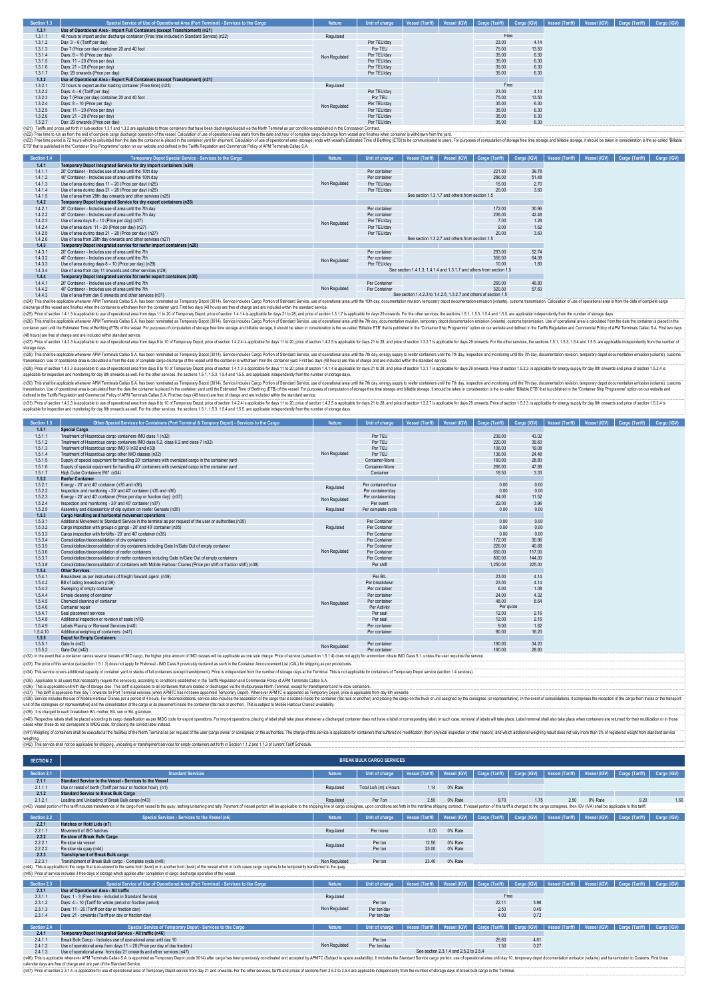| Section 1.3 | Special Service of Use of Operational Area (Port Terminal) - Services to the Cargo                                                                                                                                    | <b>Nature</b> | Unit of charge | Vessel (Tariff) | Vessel (IGV) Cargo (Tariff) Cargo (IGV) |       | Vessel (Tariff)   Vessel (IGV) | Cargo (Tariff) | Cargo (IGV) |
|-------------|-----------------------------------------------------------------------------------------------------------------------------------------------------------------------------------------------------------------------|---------------|----------------|-----------------|-----------------------------------------|-------|--------------------------------|----------------|-------------|
| 1.3.1       | Use of Operational Area - Import Full Containers (except Transhipment) (n21)                                                                                                                                          |               |                |                 |                                         |       |                                |                |             |
| 1.3.1.1     | 48 hours to import and/or discharge container (Free time included in Standard Service) (n22)                                                                                                                          | Regulated     |                |                 | Free                                    |       |                                |                |             |
| 1.3.1.2     | Day: 3 - 6 (Tariff per day)                                                                                                                                                                                           |               | Per TEU/day    |                 | 23.00                                   | 4.14  |                                |                |             |
| 1.3.1.3     | Day 7 (Price per day) container 20 and 40 foot                                                                                                                                                                        |               | Por TEU        |                 | 75.00                                   | 13.50 |                                |                |             |
| 1.3.1.4     | Days: 8 - 10 (Price per day)                                                                                                                                                                                          | Non Regulated | Per TEU/day    |                 | 35.00                                   | 6.30  |                                |                |             |
| 1.3.1.5     | Days: 11 - 20 (Price per day)                                                                                                                                                                                         |               | Per TEU/day    |                 | 35.00                                   | 6.30  |                                |                |             |
| 1.3.1.6     | Days: 21 - 28 (Price per day)                                                                                                                                                                                         |               | Per TEU/day    |                 | 35.00                                   | 6.30  |                                |                |             |
| 1.3.1.7     | Day: 29 onwards (Price per day)                                                                                                                                                                                       |               | Per TEU/day    |                 | 35.00                                   | 6.30  |                                |                |             |
| 1.3.2       | Use of Operational Area - Export Full Containers (except Transhipment) (n21)                                                                                                                                          |               |                |                 |                                         |       |                                |                |             |
| 1.3.2.1     | 72 hours to export and/or loading container (Free time) (n23)                                                                                                                                                         | Regulated     |                |                 | Free                                    |       |                                |                |             |
| 1.3.2.2     | Days: 4 - 6 (Tariff per day)                                                                                                                                                                                          |               | Per TEU/day    |                 | 23.00                                   | 4.14  |                                |                |             |
| 1.3.2.3     | Day 7 (Price per day) container 20 and 40 foot                                                                                                                                                                        |               | Por TEU        |                 | 75.00                                   | 13.50 |                                |                |             |
| 1.3.2.4     | Days: 8 - 10 (Price per day)                                                                                                                                                                                          | Non Regulated | Per TEU/dav    |                 | 35.00                                   | 6.30  |                                |                |             |
| 1.3.2.5     | Days: 11 - 20 (Price per day)                                                                                                                                                                                         |               | Per TEU/day    |                 | 35.00                                   | 6.30  |                                |                |             |
| 1.3.2.6     | Days: 21 - 28 (Price per day)                                                                                                                                                                                         |               | Per TEU/day    |                 | 35.00                                   | 6.30  |                                |                |             |
| 1327        | Day: 29 onwards (Price per day)                                                                                                                                                                                       |               | Per TEU/day    |                 | 35.00                                   | 6.30  |                                |                |             |
|             | n21): Tariffs and prices set forth in sub-section 1.3.1 and 1.3.2 are applicable to those containers that have been discharged/loaded via the North Terminal as per conditions established in the Concession Contract |               |                |                 |                                         |       |                                |                |             |

(n2); Taris and pross set the max beacher 1.3 and 1.3 are spicable to reac and the end of our search and the end of periodistic of the estile and the dependent of the maximal as earn for minimal as per conflict carp in the

| Section 1.4 | Temporary Depot Special Service - Services to the Cargo               | <b>Nature</b> | Unit of charge | Vessel (Tariff) | Vessel (IGV)                                    | Cargo (Tariff)                                                       | Cargo (IGV) | Vessel (Tariff) | Vessel (IGV) | Cargo (Tariff) |  |  |  |  | Cargo (IGV) |
|-------------|-----------------------------------------------------------------------|---------------|----------------|-----------------|-------------------------------------------------|----------------------------------------------------------------------|-------------|-----------------|--------------|----------------|--|--|--|--|-------------|
| 1.4.1       | Temporary Depot Integrated Service for dry import containers (n24)    |               |                |                 |                                                 |                                                                      |             |                 |              |                |  |  |  |  |             |
| 1.4.1.1     | 20" Container - Includes use of area until the 10th day               |               | Per container  |                 |                                                 | 221.00                                                               | 39.78       |                 |              |                |  |  |  |  |             |
| 1.4.1.2     | 40" Container - Includes use of area until the 10th day               |               | Per container  |                 |                                                 | 286.00                                                               | 51.48       |                 |              |                |  |  |  |  |             |
| 1.4.1.3     | Use of area during days 11 - 20 (Price per day) (n25)                 | Non Regulated | Per TEU/dav    |                 |                                                 | 15.00                                                                | 2.70        |                 |              |                |  |  |  |  |             |
| 1.4.1.4     | Use of area during days 21 - 28 (Price per day) (n25)                 |               | Per TEU/day    |                 |                                                 | 20.00                                                                | 3.60        |                 |              |                |  |  |  |  |             |
| 1.4.1.5     | Use of area from 29th day onwards and other services (n25)            |               |                |                 | See section 1.3.1.7 and others from section 1.5 |                                                                      |             |                 |              |                |  |  |  |  |             |
| 1.4.2       | Temporary Depot Integrated Service for dry export containers (n26)    |               |                |                 |                                                 |                                                                      |             |                 |              |                |  |  |  |  |             |
| 1.4.2.1     | 20' Container - Includes use of area until the 7th day                |               | Per container  |                 |                                                 | 172.00                                                               | 30.96       |                 |              |                |  |  |  |  |             |
| 1.4.2.2     | 40" Container - Includes use of area until the 7th day                |               | Per container  |                 |                                                 | 236.00                                                               | 42.48       |                 |              |                |  |  |  |  |             |
| 1.4.2.3     | Use of area days 8 - 10 (Price per day) (n27)                         | Non Regulated | Per TEU/day    |                 |                                                 | 7.00                                                                 | 1.26        |                 |              |                |  |  |  |  |             |
| 1.4.2.4     | Use of area days 11 - 20 (Price per day) (n27)                        |               | Per TEU/dav    |                 |                                                 | 9.00                                                                 | 1.62        |                 |              |                |  |  |  |  |             |
| 1.4.2.5     | Use of area during days 21 - 28 (Price per day) (n27)                 |               | Per TEU/dav    |                 |                                                 | 20.00                                                                | 3.60        |                 |              |                |  |  |  |  |             |
| 1.4.2.6     | Use of area from 29th day onwards and other services (n27)            |               |                |                 | See section 1.3.2.7 and others from section 1.5 |                                                                      |             |                 |              |                |  |  |  |  |             |
| 1.4.3       | Temporary Depot integrated service for reefer import containers (n28) |               |                |                 |                                                 |                                                                      |             |                 |              |                |  |  |  |  |             |
| 1.4.3.1     | 20" Container - Includes use of area until the 7th                    |               | Per container  |                 |                                                 | 293.00                                                               | 52.74       |                 |              |                |  |  |  |  |             |
| 1.4.3.2     | 40' Container - Includes use of area until the 7th                    | Non Regulated | Per container  |                 |                                                 | 356.00                                                               | 64.08       |                 |              |                |  |  |  |  |             |
| 1.4.3.3     | Use of area during days 8 - 10 (Price per day) (n29)                  |               | Per TEU/dav    |                 |                                                 | 10.00                                                                | 1.80        |                 |              |                |  |  |  |  |             |
| 1.4.3.4     | Use of area from day 11 onwards and other services (n29)              |               |                |                 |                                                 | See section 1.4.1.3. 1.4.1.4 and 1.3.1.7 and others from section 1.5 |             |                 |              |                |  |  |  |  |             |
| 1.4.4       | Temporary Depot integrated service for reefer export containers (n30) |               |                |                 |                                                 |                                                                      |             |                 |              |                |  |  |  |  |             |
| 1441        | 20' Container - Includes use of area until the 7th                    |               | Per Container  |                 |                                                 | 260.00                                                               | 46.80       |                 |              |                |  |  |  |  |             |
| 1.4.4.2     | 40" Container - Includes use of area until the 7th                    | Non Regulated | Per Container  |                 |                                                 | 320.00                                                               | 57.60       |                 |              |                |  |  |  |  |             |
| 1.4.4.3     | Use of area from day 8 onwards and other services (n31)               |               |                |                 |                                                 | See section 1.4.2.3 to 1.4.2.5, 1.3.2.7 and others of section 1.5    |             |                 |              |                |  |  |  |  |             |

14.4.3 Use of area from day 8 onwards and other services (n31). Because the moral product and the services (n31<br>(n24): This shall be applicable where APM Temats Callo SA has been nominated as Temporary Depot (3014). Servic (exp), muse and finance when the containers with rawn form the container yard. First wo days (48 hours) are free of charge and are included within the standard service.<br>(n25): Price of section 14.1.3 is applicable to use o

(n26): This shall be applicable whenever APM Terminals Callao S. A has been nominaled as Temporary Depot(3014). Service includes Carp Portion of Standard Service, use of operational sea until the This projection members of

(n2); Price disconding a second and one also that the second of Temporary Depot price of second 1424 is applicable for days 11 b 20, price of second 1425 is applicable for descending the matrix of the change of the change

(n2): This hall be apicable where FAN Temais Calleo S.A has been nominate a Temperature in the Substitute in the order of the temais of the computer of the computer of the computer of the computer of the computer of the co

(n3l); This shall be applicable whenever APM Terminals Callao S. A has been nominaled as Temporary Depot(3014). Service includios Carp Porton of Standard Service, use of operational area until the Thi day, energy sport bar

(n3)): Price dead on 14.23 is applicable used operational and towards the 101 Tenparay Depot the dead of the special of the 2011/2 Si applicable for any 21 b22, and price dead 1.5.2.1 applicable for a secure is and the sec

| Section 1.5 | Other Special Services for Containers (Port Terminal & Tempory Depot) - Services to the Cargo                                                                                                                                  | <b>Nature</b> | Unit of charge     | Vessel (Tariff) | Vessel (IGV) | Cargo (Tariff) | Cargo (IGV) | Vessel (Tariff) | Vessel (IGV)<br>Cargo (Tariff) |  |
|-------------|--------------------------------------------------------------------------------------------------------------------------------------------------------------------------------------------------------------------------------|---------------|--------------------|-----------------|--------------|----------------|-------------|-----------------|--------------------------------|--|
| 1.5.1       | <b>Special Cargo</b>                                                                                                                                                                                                           |               |                    |                 |              |                |             |                 |                                |  |
| 1.5.1.1     | Treatment of Hazardous cargo containers IMO class 1 (n32)                                                                                                                                                                      |               | Per TEU            |                 |              | 239.00         | 43.02       |                 |                                |  |
| 1.5.1.2     | Treatment of Hazardous cargo containers IMO class 5.2, class 6.2 and class 7 (n32)                                                                                                                                             |               | Per TEU            |                 |              | 220.00         | 39.60       |                 |                                |  |
| 1.5.1.3     | Treatment of Hazardous cargo IMO 9 (n32 and n33)                                                                                                                                                                               |               | Per TEU            |                 |              | 106.00         | 19.08       |                 |                                |  |
| 1.5.1.4     | Treatment of Hazardous cargo other IMO classes (n32)                                                                                                                                                                           | Non Regulated | Per TEU            |                 |              | 136.00         | 24.48       |                 |                                |  |
| 1.5.1.5     | Supply of special equipment for handling 20' containers with oversized cargo in the container vard                                                                                                                             |               | Container-Move     |                 |              | 160.00         | 28.80       |                 |                                |  |
| 1.5.1.6     | Supply of special equipment for handling 40' containers with oversized cargo in the container vard                                                                                                                             |               | Container-Move     |                 |              | 266.00         | 47.88       |                 |                                |  |
| 1.5.1.7     | High Cube Containers 9'6" (n34)                                                                                                                                                                                                |               | Container          |                 |              | 18.50          | 3.33        |                 |                                |  |
| 1.5.2       | <b>Reefer Container</b>                                                                                                                                                                                                        |               |                    |                 |              |                |             |                 |                                |  |
| 1.5.2.1     | Energy - 20' and 40' container (n35 and n36)                                                                                                                                                                                   |               | Per container/hour |                 |              | 0.00           | 0.00        |                 |                                |  |
| 1.5.2.2     | Inspection and monitoring - 20' and 40' container (n35 and n36)                                                                                                                                                                | Regulated     | Per container/day  |                 |              | 0.00           | 0.00        |                 |                                |  |
| 1.5.2.3     | Energy - 20' and 40" container (Price per day or fraction day) (n37)                                                                                                                                                           |               | Per container/day  |                 |              | 64.00          | 11.52       |                 |                                |  |
| 1.5.2.4     | Inspection and monitoring - 20' and 40' container (n37).                                                                                                                                                                       | Non Regulated | Per event          |                 |              | 22.00          | 3.96        |                 |                                |  |
| 1.5.2.5     | Assembly and disassembly of clip system on reefer Gensets (n35)                                                                                                                                                                | Regulated     | Per complete cycle |                 |              | 0.00           | 0.00        |                 |                                |  |
| 1.5.3       | Cargo Handling and horizontal movement operations                                                                                                                                                                              |               |                    |                 |              |                |             |                 |                                |  |
| 1.5.3.1     | Additional Movement to Standard Service in the terminal as per request of the user or authorities (n35)                                                                                                                        |               | Per Container      |                 |              | 0.00           | 0.00        |                 |                                |  |
| 1.5.3.2     | Cargo inspection with groups o gangs - 20' and 40' container (n35)                                                                                                                                                             | Regulated     | Per Container      |                 |              | 0.00           | 0.00        |                 |                                |  |
| 1.5.3.3     | Cargo inspection with forklifts - 20' and 40' container (n35)                                                                                                                                                                  |               | Per Container      |                 |              | 0.00           | 0.00        |                 |                                |  |
| 1.5.3.4     | Consolidation/deconsolidation of dry containers                                                                                                                                                                                |               | Per Container      |                 |              | 172.00         | 30.96       |                 |                                |  |
| 1.5.3.5     | Consolidation/deconsolidation of dry containers including Gate In/Gate Out of empty container                                                                                                                                  |               | Per Container      |                 |              | 226.00         | 40.68       |                 |                                |  |
| 1.5.3.6     | Consolidation/deconsolidation of reefer containers                                                                                                                                                                             | Non Regulated | Per Container      |                 |              | 650.00         | 117.00      |                 |                                |  |
| 1.5.3.7     | Consolidation/deconsolidation of reefer containers including Gate In/Gate Out of empty containers                                                                                                                              |               | Per Container      |                 |              | 800.00         | 144.00      |                 |                                |  |
| 1.5.3.8     | Consolidation/deconsolidation of containers with Mobile Harbour Cranes (Price per shift or fraction shift) (n38)                                                                                                               |               | Per shift          |                 |              | 1.250.00       | 225.00      |                 |                                |  |
| 1.5.4       | <b>Other Services</b>                                                                                                                                                                                                          |               |                    |                 |              |                |             |                 |                                |  |
| 1.5.4.1     | Breakdown as per instructions of freight forward agent (n39)                                                                                                                                                                   |               | Per B/L            |                 |              | 23.00          | 4.14        |                 |                                |  |
| 1.5.4.2     | Bill of lading breakdown (n39)                                                                                                                                                                                                 |               | Per breakdown      |                 |              | 23.00          | 4.14        |                 |                                |  |
| 1.5.4.3     | Sweeping of empty container                                                                                                                                                                                                    |               | Per container      |                 |              | 6.00           | 1.08        |                 |                                |  |
| 1.5.4.4     | Simple cleaning of container                                                                                                                                                                                                   |               | Per container      |                 |              | 24.00          | 4.32        |                 |                                |  |
| 1.5.4.5     | Chemical cleaning of container                                                                                                                                                                                                 | Non Regulated | Per container      |                 |              | 48.00          | 8.64        |                 |                                |  |
| 1.5.4.6     | Container repair                                                                                                                                                                                                               |               | Per Activity       |                 |              | Per quote      |             |                 |                                |  |
| 1.5.4.7     | Seal placement services                                                                                                                                                                                                        |               | Per seal           |                 |              | 12.00          | 2.16        |                 |                                |  |
| 1.5.4.8     | Additional inspection or revision of seals (n19)                                                                                                                                                                               |               | Per seal           |                 |              | 12.00          | 2.16        |                 |                                |  |
| 1.5.4.9     | Labels Placing or Removal Services (n40)                                                                                                                                                                                       |               | Per container      |                 |              | 9.00           | 1.62        |                 |                                |  |
| 1.5.4.10    | Additional weighing of containers (n41)                                                                                                                                                                                        |               | Per container      |                 |              | 90.00          | 16.20       |                 |                                |  |
| 1.5.5       | <b>Depot for Empty Containers</b>                                                                                                                                                                                              |               |                    |                 |              |                |             |                 |                                |  |
| 1.5.5.1     | Gate In (n42)                                                                                                                                                                                                                  | Non Regulated | Per container      |                 |              | 190.00         | 34.20       |                 |                                |  |
| 1.5.5.2     | Gate Out (n42)                                                                                                                                                                                                                 |               | Per container      |                 |              | 160.00         | 28.80       |                 |                                |  |
|             | (n32): In the event that a container carries several classes of IMO cargo, the higher price amount of IMO classes will be applicable as one sole charge. Price of service (subsection 1.5.1.4) does not apply for ammonium nit |               |                    |                 |              |                |             |                 |                                |  |
|             | (n33): The price of this service (subsection 1.5.1.3) does not apply for Eishmeal - IMO Class 9 previously declared as such in the Container Announcement List (CAL) for shipping as per procedures                            |               |                    |                 |              |                |             |                 |                                |  |

(n33): The price of this service (subsection 1.5.1.3) does not apply for Fishmeal - IMO Class 9 previously declared as such in the Container Announcement List (CAL) for shipping as per procedures.

(n39): it is charged to each breakdown BL mother, BL son or BL gandson.<br>(n40): Respond about about about they are also about the substable as a MDG code for export operations. For import operations, placing of label shall (n35). This serice covers additional capacity of contrainery and respect full conditions established in the Sindeplation and Commercial Policy of APM Terminis Caliso S.A.<br>(n35). This tend is contrained a material series th

lates when we are well as a more well as the most server also as a request of the user (argo owner or consigne) or the authorities. The charge of this service applicable for considers in a state of containers that suffered

weighing.<br>(n42): This service shall not be app .<br>plicable for shipping, unloading or transhipment services for empty containers set forth in Section 1.1.2 and 1.1.3 of current Tariff Schedule.

| <b>SECTION 2</b> |                                                                                                                                                                                                                                |               | <b>BREAK BULK CARGO SERVICES</b> |                        |                                        |                |             |                 |              |                |             |
|------------------|--------------------------------------------------------------------------------------------------------------------------------------------------------------------------------------------------------------------------------|---------------|----------------------------------|------------------------|----------------------------------------|----------------|-------------|-----------------|--------------|----------------|-------------|
| Section 2.1      | <b>Standard Services</b>                                                                                                                                                                                                       | <b>Nature</b> | <b>Unit of charge</b>            | <b>Vessel (Tariff)</b> | Vessel (IGV)                           | Cargo (Tariff) | Cargo (IGV) | Vessel (Tariff) | Vessel (IGV) | Cargo (Tariff) | Cargo (IGV) |
| 2.1.1            | Standard Service to the Vessel - Services to the Vessel                                                                                                                                                                        |               |                                  |                        |                                        |                |             |                 |              |                |             |
| 2111             | Use or rental of berth (Tariff per hour or fraction hour) (n1)                                                                                                                                                                 | Regulated     | Total LoA (m) x Hours            | 1.14                   | 0% Rate                                |                |             |                 |              |                |             |
| 2.1.2            | <b>Standard Service to Break Bulk Cargo</b>                                                                                                                                                                                    |               |                                  |                        |                                        |                |             |                 |              |                |             |
| 2.1.2.1          | Loading and Unloading of Break Bulk cargo (n43)                                                                                                                                                                                | Regulated     | Per Ton                          | 2.50                   | 0% Rate                                | 9.70           | 1.75        | 2.50            | 0% Rate      | 9.20           | 1.66        |
|                  | : (n43): Vessel portion of this tariff includes transference of the cargo from vessel to the quay, lashinquinlashing and tally. Payment of Vessel portion will be applicable to the shipping line or cargo consignee, upon con |               |                                  |                        |                                        |                |             |                 |              |                |             |
| Section 2.2      | Special Services - Services to the Vessel (n6)                                                                                                                                                                                 | <b>Nature</b> | Unit of charge                   | Vessel (Tariff)        | Vessel (IGV)                           | Cargo (Tariff) | Cargo (IGV) | Vessel (Tariff) | Vessel (IGV) | Cargo (Tariff) | Cargo (IGV) |
| 2.2.1            | Hatches or Hold Lids (n7)                                                                                                                                                                                                      |               |                                  |                        |                                        |                |             |                 |              |                |             |
| 2.2.1.1          | Movement of ISO hatches                                                                                                                                                                                                        | Regulated     | Per move                         | 0.00                   | 0% Rate                                |                |             |                 |              |                |             |
| 2.2.2            | Re-stow of Break Bulk Cargo                                                                                                                                                                                                    |               |                                  |                        |                                        |                |             |                 |              |                |             |
| 2.2.2.1          | Re-stow via vessel                                                                                                                                                                                                             |               | Per ton                          | 12.50                  | 0% Rate                                |                |             |                 |              |                |             |
| 2.2.2.2          | Re-stow via quay (n44)                                                                                                                                                                                                         | Regulated     | Per ton                          | 25.00                  | 0% Rate                                |                |             |                 |              |                |             |
| 2.2.3            | <b>Transhipment of Break Bulk cargo</b>                                                                                                                                                                                        |               |                                  |                        |                                        |                |             |                 |              |                |             |
| 2231             | Transhipment of Break Bulk cargo - Complete cycle (n45)                                                                                                                                                                        | Non Regulated | Per ton                          | 23.40                  | 0% Rate                                |                |             |                 |              |                |             |
|                  | (n44): This is applicable to the cargo that is re-stowed in the same hold (level) or in another hold (level) of the vessel which in both cases cargo requires to be temporarily transferred to the quay.                       |               |                                  |                        |                                        |                |             |                 |              |                |             |
|                  | (n45): Price of service includes 3 free days of storage which applies after completion of cargo discharge operation of the vessel.                                                                                             |               |                                  |                        |                                        |                |             |                 |              |                |             |
| Section 2.3      | Special Service of Use of Operational Area (Port Terminal) - Services to the Cargo                                                                                                                                             | <b>Nature</b> | Unit of charge                   | Vessel (Tariff)        | Vessel (IGV)                           | Cargo (Tariff) | Cargo (IGV) | Vessel (Tariff) | Vessel (IGV) | Cargo (Tariff) | Cargo (IGV) |
| 2.3.1            | Use of Operational Area - All traffic                                                                                                                                                                                          |               |                                  |                        |                                        |                |             |                 |              |                |             |
| 2.3.1.1          | Days: 1 - 3 (Free time - included in Standard Service).                                                                                                                                                                        | Regulated     |                                  |                        |                                        | Free           |             |                 |              |                |             |
| 2.3.1.2          | Days: 4 - 10 (Tariff for whole period or fraction period)                                                                                                                                                                      |               | Per ton                          |                        |                                        | 22.11          | 3.98        |                 |              |                |             |
| 2.3.1.3          | Days: 11 - 20 (Tariff per day or fraction day)                                                                                                                                                                                 | Non Regulated | Per ton/day                      |                        |                                        | 2.50           | 0.45        |                 |              |                |             |
| 2.3.1.4          | Days: 21 - onwards (Tariff per day or fraction day)                                                                                                                                                                            |               | Per ton/day                      |                        |                                        | 4.00           | 0.72        |                 |              |                |             |
|                  |                                                                                                                                                                                                                                |               |                                  |                        |                                        |                |             |                 |              |                |             |
| Section 2.4      | Special Service of Temporary Depot - Services to the Cargo                                                                                                                                                                     | <b>Nature</b> | <b>Unit of charge</b>            | Vessel (Tariff)        | Vessel (IGV)                           | Cargo (Tariff) | Cargo (IGV) | Vessel (Tariff) | Vessel (IGV) | Cargo (Tariff) | Cargo (IGV) |
| 2.4.1            | Temporary Depot Integrated Service - All traffic (n46)                                                                                                                                                                         |               |                                  |                        |                                        |                |             |                 |              |                |             |
| 2.4.1.1          | Break Bulk Cargo - Includes use of operational area until day 10                                                                                                                                                               |               | Per ton                          |                        |                                        | 25.60          | 4.61        |                 |              |                |             |
| 2.4.1.2          | Use of operational area from days 11 - 20 (Price per day of day fraction)                                                                                                                                                      | Non Regulated | Per ton/day                      |                        |                                        | 1.50           | 0.27        |                 |              |                |             |
| 2.4.1.3          | Use of operational area from day 21 onwards and other services (n47)                                                                                                                                                           |               |                                  |                        | See section 2.3.1.4 and 2.5.2 to 2.5.4 |                |             |                 |              |                |             |
|                  | (n46): This is applicable whenever APM Terminals Callao S.A. is appointed as Temporary Depot (code 3014) after cargo has been previously coordinated and accepted by APMTC (Subject to space availability). It includes the St |               |                                  |                        |                                        |                |             |                 |              |                |             |

calendar days are free of charge and are part of the Standard days are free of charge and are part of the Standard (n47): Price of section 2.3.1.4. is applicable for use of op

s juin wave developed and a remporary Depot service from day 21 and onwards. For the other services, tarifis and prices of sections from 2.5.2 to 2.5.4 are applicable independently from the number of storage days of break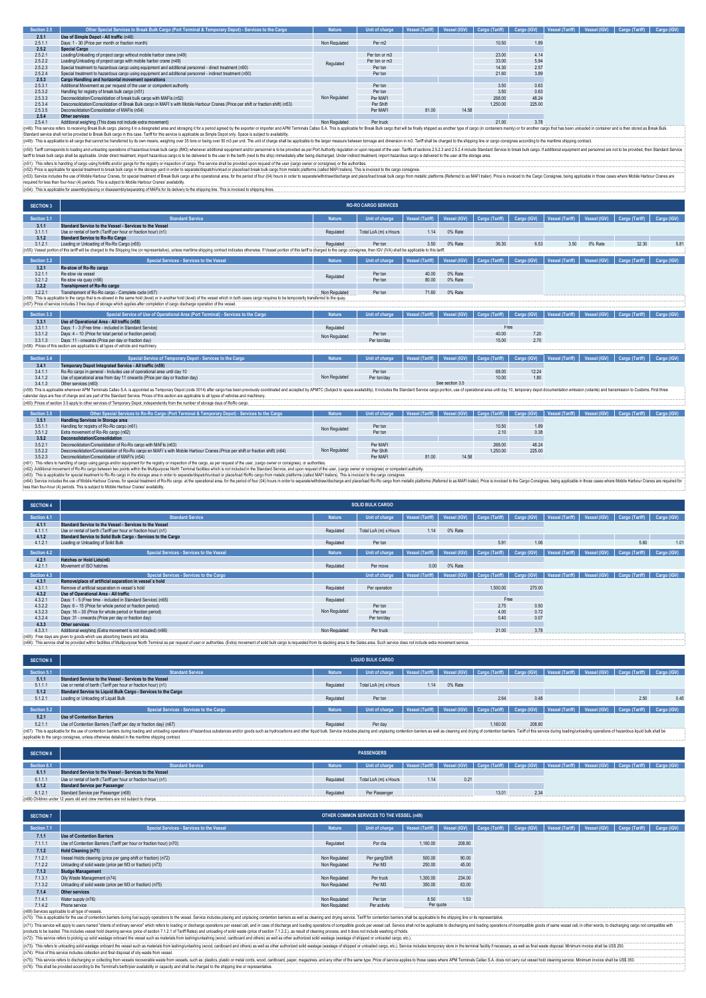| Section 2.5 | Other Special Services to Break Bulk Cargo (Port Terminal & Temporary Depot) - Services to the Cargo                              | <b>Nature</b> | Unit of charge | Vessel (Tariff) | Vessel (IGV) | Cargo (Tariff) | Cargo (IGV) | Vessel (Tariff) | Vessel (IGV) Cargo (Tariff) | Cargo (IGV) |
|-------------|-----------------------------------------------------------------------------------------------------------------------------------|---------------|----------------|-----------------|--------------|----------------|-------------|-----------------|-----------------------------|-------------|
| 2.5.1       | Use of Simple Depot - All traffic (n48)                                                                                           |               |                |                 |              |                |             |                 |                             |             |
| 2.5.1.1     | Days: 1 - 30 (Price per month or fraction month)                                                                                  | Non Regulated | Per m2         |                 |              | 10.50          | 1.89        |                 |                             |             |
| 2.5.2       | <b>Special Cargo</b>                                                                                                              |               |                |                 |              |                |             |                 |                             |             |
| 2.5.2.1     | Loading/Unloading of project cargo without mobile harbor crane (n49)                                                              |               | Per ton or m3  |                 |              | 23.00          | 4.14        |                 |                             |             |
| 2.5.2.2     | Loading/Unloading of project cargo with mobile harbor crane (n49)                                                                 | Regulated     | Per ton or m3  |                 |              | 33.00          | 5.94        |                 |                             |             |
| 2.5.2.3     | Special treatment to hazardous cargo using equipment and additional personnel - direct treatment (n50)                            |               | Per ton        |                 |              | 14.30          | 2.57        |                 |                             |             |
| 2.5.2.4     | Special treatment to hazardous cargo using equipment and additional personnel - indirect treatment (n50)                          |               | Per ton        |                 |              | 21.60          | 3.89        |                 |                             |             |
| 2.5.3       | <b>Cargo Handling and horizontal movement operations</b>                                                                          |               |                |                 |              |                |             |                 |                             |             |
| 2.5.3.1     | Additional Movement as per request of the user or competent authority                                                             |               | Per ton        |                 |              | 3.50           | 0.63        |                 |                             |             |
| 2.5.3.2     | Handling for registry of break bulk cargo (n51)                                                                                   |               | Per ton        |                 |              | 3.50           | 0.63        |                 |                             |             |
| 2.5.3.3     | Deconsolidation/Consolidation of break bulk cargo with MAFIs (n52)                                                                | Non Regulated | Per MAFI       |                 |              | 268.00         | 48.24       |                 |                             |             |
| 2.5.3.4     | Desconsolidation/Consolidation of Break Bulk cargo in MAFI's with Mobile Harbour Cranes (Price per shift or fraction shift) (n53) |               | Per Shift      |                 |              | 1.250.00       | 225.00      |                 |                             |             |
| 2.5.3.5     | Deconsolidation/Consolidation of MAFIs (n54)                                                                                      |               | Per MAFI       | 81.00           | 14.58        |                |             |                 |                             |             |
| 25A         | Other candcas                                                                                                                     |               |                |                 |              |                |             |                 |                             |             |

25.4 Cher services and include extra memorial and staging it of a specific service of a specific service and and staging it of a specific service of the specific service of the specific service of the control of the specif

(n50): Tariff corresponds to loading and unloading operations of hazardous break bulk cargo (IMO) whenever additional equipment and/or personnel is to be provided as per Port Authority regulation or upon request of the use .<br>(n50): Tariff corresponds to loading and unloading operations of hazardous beak built cargo (MO) whenever additional equipment and/or personnel is to be provided as per Port Authority regulation or upon request of the us

(n51): This respland be received that all the and the mail and the regist of incompled on clange. This environment ended you allow the security and the the compart of the and the product of the security of the security of

| <b>SECTION 3</b> |                                                                                                                                                                                                                                                                                                                                                |               | <b>RO-RO CARGO SERVICES</b> |                 |                 |                |             |                        |              |                |             |
|------------------|------------------------------------------------------------------------------------------------------------------------------------------------------------------------------------------------------------------------------------------------------------------------------------------------------------------------------------------------|---------------|-----------------------------|-----------------|-----------------|----------------|-------------|------------------------|--------------|----------------|-------------|
| Section 3.1      | <b>Standard Service</b>                                                                                                                                                                                                                                                                                                                        | <b>Nature</b> | Unit of charge              | Vessel (Tariff) | Vessel (IGV)    | Cargo (Tariff) | Cargo (IGV) | Vessel (Tariff)        | Vessel (IGV) | Cargo (Tariff) | Cargo (IGV) |
| 3.1.1            | Standard Service to the Vessel - Services to the Vessel                                                                                                                                                                                                                                                                                        |               |                             |                 |                 |                |             |                        |              |                |             |
| 3.1.1.1          | Use or rental of berth (Tariff per hour or fraction hour) (n1)                                                                                                                                                                                                                                                                                 | Regulated     | Total LoA (m) x Hours       | 1.14            | 0% Rate         |                |             |                        |              |                |             |
| 3.1.2            | <b>Standard Service to Ro-Ro Cargo</b>                                                                                                                                                                                                                                                                                                         |               |                             |                 |                 |                |             |                        |              |                |             |
| 3.1.2.1          | Loading or Unloading of Ro-Ro Cargo (n55)                                                                                                                                                                                                                                                                                                      | Regulated     | Per ton                     | 3.50            | 0% Rate         | 36.30          | 6.53        | 3.50                   | 0% Rate      | 32.30          | 5.81        |
|                  | (n55): Vessel portion of this tariff will be charged to the Shipping line (or representative), unless maritime shipping contract indicates otherwise. If Vessel portion of this tariff is charged to the cargo consignee, then                                                                                                                 |               |                             |                 |                 |                |             |                        |              |                |             |
| Section 3.2      | Special Services - Services to the Vessel                                                                                                                                                                                                                                                                                                      | <b>Nature</b> | <b>Unit of charge</b>       | Vessel (Tariff) | Vessel (IGV)    | Cargo (Tariff) | Cargo (IGV) | Vessel (Tariff)        | Vessel (IGV) | Cargo (Tariff) | Cargo (IGV) |
| 3.2.1            | Re-stow of Ro-Ro cargo                                                                                                                                                                                                                                                                                                                         |               |                             |                 |                 |                |             |                        |              |                |             |
| 3.2.1.1          | Re-stow via vessel                                                                                                                                                                                                                                                                                                                             | Regulated     | Per ton                     | 40.00           | 0% Rate         |                |             |                        |              |                |             |
| 3.2.1.2          | Re-stow via quay (n56)                                                                                                                                                                                                                                                                                                                         |               | Per ton                     | 80.00           | 0% Rate         |                |             |                        |              |                |             |
| 3.2.2            | Transhipment of Ro-Ro cargo                                                                                                                                                                                                                                                                                                                    |               |                             |                 |                 |                |             |                        |              |                |             |
| 3.2.2.1          | Transhipment of Ro-Ro cargo - Complete cycle (n57)                                                                                                                                                                                                                                                                                             | Non Regulated | Per ton                     | 71.60           | 0% Rate         |                |             |                        |              |                |             |
|                  | (n56): This is applicable to the cargo that is re-stowed in the same hold (level) or in another hold (level) of the vessel which in both cases cargo requires to be temporarily transferred to the quay.<br>(n57): Price of service includes 3 free days of storage which applies after completion of cargo discharge operation of the yessel. |               |                             |                 |                 |                |             |                        |              |                |             |
|                  |                                                                                                                                                                                                                                                                                                                                                |               |                             |                 |                 |                |             |                        |              |                |             |
| Section 3.3      | Special Service of Use of Operational Area (Port Terminal) - Services to the Cargo                                                                                                                                                                                                                                                             | <b>Nature</b> | Unit of charge              | Vessel (Tariff) | Vessel (IGV)    | Cargo (Tariff) | Cargo (IGV) | <b>Vessel (Tariff)</b> | Vessel (IGV) | Cargo (Tariff) | Cargo (IGV) |
| 3.3.1            | Use of Operational Area - All traffic (n58)                                                                                                                                                                                                                                                                                                    |               |                             |                 |                 |                |             |                        |              |                |             |
| 3.3.1.1          | Days: 1 - 3 (Free time - included in Standard Service)                                                                                                                                                                                                                                                                                         | Regulated     |                             |                 |                 | Free           |             |                        |              |                |             |
| 3.3.1.2          | Days: 4 - 10 (Price for total period or fraction period)                                                                                                                                                                                                                                                                                       | Non Regulated | Per ton                     |                 |                 | 40.00          | 7.20        |                        |              |                |             |
| 3.3.1.3          | Days: 11 - onwards (Price per day or fraction day)                                                                                                                                                                                                                                                                                             |               | Per ton/day                 |                 |                 | 15.00          | 2.70        |                        |              |                |             |
|                  | (n58): Prices of this section are applicable to all types of vehicle and machinery.                                                                                                                                                                                                                                                            |               |                             |                 |                 |                |             |                        |              |                |             |
| Section 3.4      | Special Service of Temporary Depot - Services to the Cargo                                                                                                                                                                                                                                                                                     | <b>Nature</b> | Unit of charge              | Vessel (Tariff) | Vessel (IGV)    | Cargo (Tariff) | Cargo (IGV) | Vessel (Tariff)        | Vessel (IGV) | Cargo (Tariff) | Cargo (IGV) |
| 3.4.1            | Temporary Depot Integrated Service - All traffic (n59)                                                                                                                                                                                                                                                                                         |               |                             |                 |                 |                |             |                        |              |                |             |
| 3.4.1.1          | Ro-Ro cargo in general - Includes use of operational area until day 10                                                                                                                                                                                                                                                                         |               | Per ton                     |                 |                 | 68.00          | 12.24       |                        |              |                |             |
| 3.4.1.2          | Use of operational area from day 11 onwards (Price per day or fraction day)                                                                                                                                                                                                                                                                    | Non Regulated | Per ton/day                 |                 |                 | 10.00          | 1.80        |                        |              |                |             |
| 3.4.1.3          | Other services (n60)                                                                                                                                                                                                                                                                                                                           |               |                             |                 | See section 3.5 |                |             |                        |              |                |             |
|                  | (n59): This is applicable whenever APM Terminals Callao S.A. is appointed as Temporary Depot (code 3014) after cargo has been previously coordinated and accepted by APMTC (Subject to space availability). It includes the St                                                                                                                 |               |                             |                 |                 |                |             |                        |              |                |             |
|                  | calendar days are free of charge and are part of the Standard Service. Prices of this section are applicable to all types of vehicles and machinery.                                                                                                                                                                                           |               |                             |                 |                 |                |             |                        |              |                |             |

|             | (n60): Prices of section 3.5 apply to other services of Temporary Depot, independently from the number of storage days of RoRo cargo. |               |                                                                                                                                                                               |       |       |          |        |  |  |
|-------------|---------------------------------------------------------------------------------------------------------------------------------------|---------------|-------------------------------------------------------------------------------------------------------------------------------------------------------------------------------|-------|-------|----------|--------|--|--|
| Section 3.5 | Other Special Services to Ro-Ro Cargo (Port Terminal & Temporary Depot) - Services to the Cargo                                       | <b>Nature</b> | Unit of charge   Vessel (Tariff)   Vessel (IGV)   Cargo (Tariff)   Cargo (IGV)   Vessel (Tariff)   Vessel (IGV)   Cargo (Tariff)   Cargo (IGV)   Cargo (Tariff)   Cargo (IGV) |       |       |          |        |  |  |
| 3.5.1       | Handling Services in Storage area                                                                                                     |               |                                                                                                                                                                               |       |       |          |        |  |  |
| 3.5.1.1     | Handling for registry of Ro-Ro cargo (n61)                                                                                            | Non Regulated | Per ton                                                                                                                                                                       |       |       | 10.50    | 1.89   |  |  |
| 3.5.1.2     | Extra movement of Ro-Ro cargo (n62)                                                                                                   |               | Per ton                                                                                                                                                                       |       |       | 2.10     | 0.38   |  |  |
| 3.5.2       | Deconsolidation/Consolidation                                                                                                         |               |                                                                                                                                                                               |       |       |          |        |  |  |
| 3.5.2.1     | Deconsolidation/Consolidation of Ro-Ro cargo with MAFIs (n63)                                                                         |               | Per MAFI                                                                                                                                                                      |       |       | 268.00   | 48.24  |  |  |
| 3.5.2.2     | Desconsolidation/Consolidation of Ro-Ro cargo en MAFI's with Mobile Harbour Cranes (Price per shift or fraction shift) (n64)          | Non Regulated | Per Shift                                                                                                                                                                     |       |       | 1.250.00 | 225.00 |  |  |
| $2.5.2.2$   | Description (Ossesballs) of MAERs (aEA)                                                                                               |               | $D = 111171$                                                                                                                                                                  | 04.00 | 44.50 |          |        |  |  |

3.5.23 Beconsolident Conservation Conservation of MAFT (nSt) in the magnitum of the registry inspection of the cargo, as per request of the user, (cargo owner or consignee), or authorities. For Freminal Studies included i less than four-hour (4) periods. This is subject to Mobile Harbour Cranes' availability.

| <b>SECTION 4</b> |                                                                |               | <b>SOLID BULK CARGO</b> |                 |              |                            |             |                 |              |                |                  |
|------------------|----------------------------------------------------------------|---------------|-------------------------|-----------------|--------------|----------------------------|-------------|-----------------|--------------|----------------|------------------|
| Section 4.1      | <b>Standard Service</b>                                        | <b>Nature</b> | Unit of charge          | Vessel (Tariff) | Vessel (IGV) | Cargo (Tariff)             | Cargo (IGV) | Vessel (Tariff) | Vessel (IGV) | Cargo (Tariff) | Cargo (IGV)      |
| 4.1.1            | Standard Service to the Vessel - Services to the Vessel        |               |                         |                 |              |                            |             |                 |              |                |                  |
| 4.1.1.1          | Use or rental of berth (Tariff per hour or fraction hour) (n1) | Regulated     | Total LoA (m) x Hours   | 1.14            | 0% Rate      |                            |             |                 |              |                |                  |
| 4.1.2            | Standard Service to Solid Bulk Cargo - Services to the Cargo   |               |                         |                 |              |                            |             |                 |              |                |                  |
| 4.1.2.1          | Loading or Unloading of Solid Bulk                             | Regulated     | Per ton                 |                 |              | 5.91                       | 1.06        |                 |              | 5.60           | 1.0 <sup>1</sup> |
| Section 4.2      | Special Services - Services to the Vessel                      | <b>Nature</b> | Unit of charge          | Vessel (Tariff) | Vessel (IGV) | Cargo (Tariff)             | Cargo (IGV) | Vessel (Tariff) | Vessel (IGV) | Cargo (Tariff) | Cargo (IGV)      |
| 4.2.1            | Hatches or Hold Lids(n6)                                       |               |                         |                 |              |                            |             |                 |              |                |                  |
| 4.2.1.1          | Movement of ISO hatches                                        | Regulated     | Per move                | 0.00            | 0% Rate      |                            |             |                 |              |                |                  |
| Section 4.3      | Special Services - Services to the Cargo                       |               | Unit of charge          | Vessel (Tariff) | Vessel (IGV) | Cargo (Tariff) Cargo (IGV) |             | Vessel (Tariff) | Vessel (IGV) | Cargo (Tariff) | Cargo (IGV)      |
| 4.3.1            | Remove/place of artificial separation in vessel's hold         |               |                         |                 |              |                            |             |                 |              |                |                  |
| 4.3.1.1          | Remove of artificial separation in vessel's hold               | Regulated     | Per operation           |                 |              | 1.500.00                   | 270.00      |                 |              |                |                  |
| 4.3.2            | Use of Operational Area - All traffic                          |               |                         |                 |              |                            |             |                 |              |                |                  |
| 4.3.2.1          | Days: 1 - 5 (Free time - included in Standard Service) (n65)   | Regulated     |                         |                 |              | Free                       |             |                 |              |                |                  |
| 4.3.2.2          | Days: 6 - 15 (Price for whole period or fraction period)       |               | Per ton                 |                 |              | 2.75                       | 0.50        |                 |              |                |                  |
| 4.3.2.3          | Days: 16 - 30 (Price for whole period or fraction period)      | Non Regulated | Per ton                 |                 |              | 4.00                       | 0.72        |                 |              |                |                  |
| 4.3.2.4          | Days: 31 - onwards (Price per day or fraction day)             |               | Per ton/day             |                 |              | 0.40                       | 0.07        |                 |              |                |                  |
| 4.3.3            | <b>Other services</b>                                          |               |                         |                 |              |                            |             |                 |              |                |                  |
| 4.3.3.1          | Additional weighing (Extra movement is not included) (n66)     | Non Regulated | Per truck               |                 |              | 21.00                      | 3.78        |                 |              |                |                  |

(n65): Free days are given by operational substract present and slice.<br>(n65): This service stall be provided within facilities of Multipurpose North Terminal as per request of user or authorities. (Extra) movement of solid

| <b>SECTION 5</b> |                                                                                                                                                                                                                                |               | <b>LIQUID BULK CARGO</b> |      |         |          |        |  |                                                                                                                               |      |
|------------------|--------------------------------------------------------------------------------------------------------------------------------------------------------------------------------------------------------------------------------|---------------|--------------------------|------|---------|----------|--------|--|-------------------------------------------------------------------------------------------------------------------------------|------|
| Section 5.1      | <b>Standard Service</b>                                                                                                                                                                                                        | <b>Nature</b> | Unit of charge           |      |         |          |        |  | Vessel (Tariff)   Vessel (IGV)   Cargo (Tariff)   Cargo (IGV)   Vessel (Tariff)   Vessel (IGV)   Cargo (Tariff)   Cargo (IGV) |      |
| 5.1.1            | Standard Service to the Vessel - Services to the Vessel                                                                                                                                                                        |               |                          |      |         |          |        |  |                                                                                                                               |      |
| 5.1.1.1          | Use or rental of berth (Tariff per hour or fraction hour) (n1)                                                                                                                                                                 | Regulated     | Total LoA (m) x Hours    | 1.14 | 0% Rate |          |        |  |                                                                                                                               |      |
| 5.1.2            | Standard Service to Liquid Bulk Cargo - Services to the Cargo                                                                                                                                                                  |               |                          |      |         |          |        |  |                                                                                                                               |      |
| 5.1.2.1          | Loading or Unloading of Liquid Bulk                                                                                                                                                                                            | Regulated     | Per ton                  |      |         | 2.64     | 0.48   |  | 2.50                                                                                                                          | 0.45 |
|                  |                                                                                                                                                                                                                                |               |                          |      |         |          |        |  |                                                                                                                               |      |
| Section 5.2      | Special Services - Services to the Cargo                                                                                                                                                                                       | <b>Nature</b> | Unit of charge           |      |         |          |        |  | Vessel (Tariff)   Vessel (IGV)   Cargo (Tariff)   Cargo (IGV)   Vessel (Tariff)   Vessel (IGV)   Cargo (Tariff)   Cargo (IGV) |      |
| 5.2.1            | <b>Use of Contention Barriers</b>                                                                                                                                                                                              |               |                          |      |         |          |        |  |                                                                                                                               |      |
| 5.2.1.1          | Use of Contention Barriers (Tariff per day or fraction day) (n67)                                                                                                                                                              | Regulated     | Per day                  |      |         | 1.160.00 | 208.80 |  |                                                                                                                               |      |
|                  | (n67): This is applicable for the use of contention barriers during loading and unloading operations of hazardous substances and/or goods such as hydrocarbons and other liquid bulk. Service includes placing contention barr |               |                          |      |         |          |        |  |                                                                                                                               |      |
|                  | applicable to the cargo consignee, unless otherwise detailed in the maritime shipping contract.                                                                                                                                |               |                          |      |         |          |        |  |                                                                                                                               |      |

| <b>SECTION 6</b> |                                                                               |               | <b>PASSENGERS</b>                                                                                                                              |      |      |       |      |  |  |
|------------------|-------------------------------------------------------------------------------|---------------|------------------------------------------------------------------------------------------------------------------------------------------------|------|------|-------|------|--|--|
| Section 6.1      | <b>Standard Service</b>                                                       | <b>Nature</b> | Unit of charge   Vessel (Tariff)   Vessel (IGV)   Cargo (Tariff)   Cargo (IGV)   Vessel (Tariff)   Vessel (IGV)   Cargo (Tariff)   Cargo (IGV) |      |      |       |      |  |  |
| 6.1.1            | Standard Service to the Vessel - Services to the Vessel                       |               |                                                                                                                                                |      |      |       |      |  |  |
| 6.1.1.1          | Use or rental of berth (Tariff per hour or fraction hour) (n1)                | Regulated     | Total LoA (m) x Hours                                                                                                                          | 1.14 | 0.21 |       |      |  |  |
| 6.1.2            | <b>Standard Service per Passenger</b>                                         |               |                                                                                                                                                |      |      |       |      |  |  |
| 6.1.2.1          | Standard Service per Passenger (n68)                                          | Regulated     | Per Passenger                                                                                                                                  |      |      | 13.01 | 2.34 |  |  |
|                  | (n68) Children under 12 years old and crew members are not subject to charge. |               |                                                                                                                                                |      |      |       |      |  |  |

| <b>SECTION 7</b> | OTHER COMMON SERVICES TO THE VESSEL (n69)                           |               |                |                              |        |                |             |                 |  |                                         |  |
|------------------|---------------------------------------------------------------------|---------------|----------------|------------------------------|--------|----------------|-------------|-----------------|--|-----------------------------------------|--|
| Section 7.1      | Special Services - Services to the Vessel                           | <b>Nature</b> | Unit of charge | Vessel (Tariff) Vessel (IGV) |        | Cargo (Tariff) | Cargo (IGV) | Vessel (Tariff) |  | Vessel (IGV) Cargo (Tariff) Cargo (IGV) |  |
| 7.1.1            | <b>Use of Contention Barriers</b>                                   |               |                |                              |        |                |             |                 |  |                                         |  |
| 7.1.1.1          | Use of Contention Barriers (Tariff per hour or fraction hour) (n70) | Regulated     | Por día        | 1,160.00                     | 208.80 |                |             |                 |  |                                         |  |
| 7.1.2            | Hold Cleaning (n71)                                                 |               |                |                              |        |                |             |                 |  |                                         |  |
| 7.1.2.1          | Vessel Holds cleaning (price per gang-shift or fraction) (n72)      | Non Regulated | Per gang/Shift | 500.00                       | 90.00  |                |             |                 |  |                                         |  |
| 7.1.2.2          | Unloading of solid waste (price per M3 or fraction) (n73)           | Non Regulated | Per M3         | 250.00                       | 45.00  |                |             |                 |  |                                         |  |
| 7.1.3            | Sludge Management                                                   |               |                |                              |        |                |             |                 |  |                                         |  |
| 7.1.3.1          | Oily Waste Management (n74)                                         | Non Regulated | Per truck      | 1.300.00                     | 234.00 |                |             |                 |  |                                         |  |
| 7.1.3.2          | Unloading of solid waste (price per M3 or fraction) (n75)           | Non Regulated | Per M3         | 350.00                       | 63.00  |                |             |                 |  |                                         |  |
| 7.1.4            | Other services                                                      |               |                |                              |        |                |             |                 |  |                                         |  |
| 7.1.4.1          | Water supply (n76)                                                  | Non Regulated | Per ton        | 8.50                         | 1.53   |                |             |                 |  |                                         |  |
| 7.1.4.2          | Phone service                                                       | Non Regulated | Per activity   | Per quote                    |        |                |             |                 |  |                                         |  |

(n5) Saviuce applicable to all type of vessels.<br>(n5) Saviuce applicable of the use of constraint barriers during fuel spply operations to the vessel. Service includes placing and unplaing contention barriers as well as cle

(n75): This serice redes to declarging or collected from wester conversible washe form westes, such as present contained proper, magazines, and any other of the same type. Price of serico assessment APM Terminals Calleio S